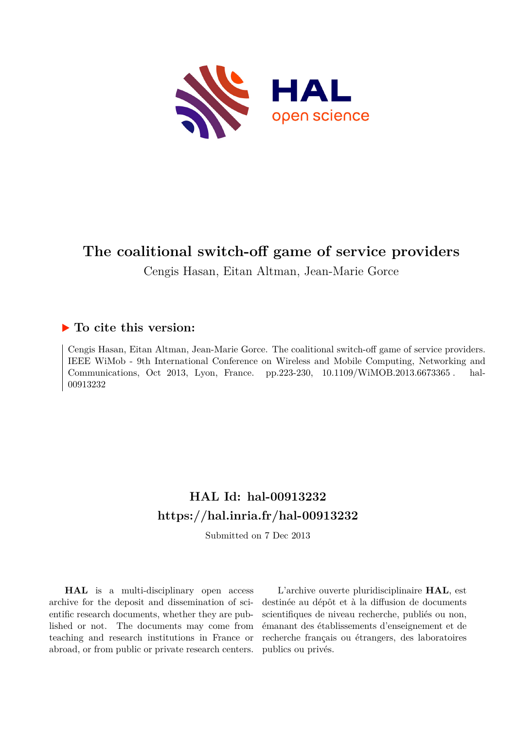

# **The coalitional switch-off game of service providers**

Cengis Hasan, Eitan Altman, Jean-Marie Gorce

# **To cite this version:**

Cengis Hasan, Eitan Altman, Jean-Marie Gorce. The coalitional switch-off game of service providers. IEEE WiMob - 9th International Conference on Wireless and Mobile Computing, Networking and Communications, Oct 2013, Lyon, France. pp.223-230, 10.1109/WiMOB.2013.6673365. hal-00913232

# **HAL Id: hal-00913232 <https://hal.inria.fr/hal-00913232>**

Submitted on 7 Dec 2013

**HAL** is a multi-disciplinary open access archive for the deposit and dissemination of scientific research documents, whether they are published or not. The documents may come from teaching and research institutions in France or abroad, or from public or private research centers.

L'archive ouverte pluridisciplinaire **HAL**, est destinée au dépôt et à la diffusion de documents scientifiques de niveau recherche, publiés ou non, émanant des établissements d'enseignement et de recherche français ou étrangers, des laboratoires publics ou privés.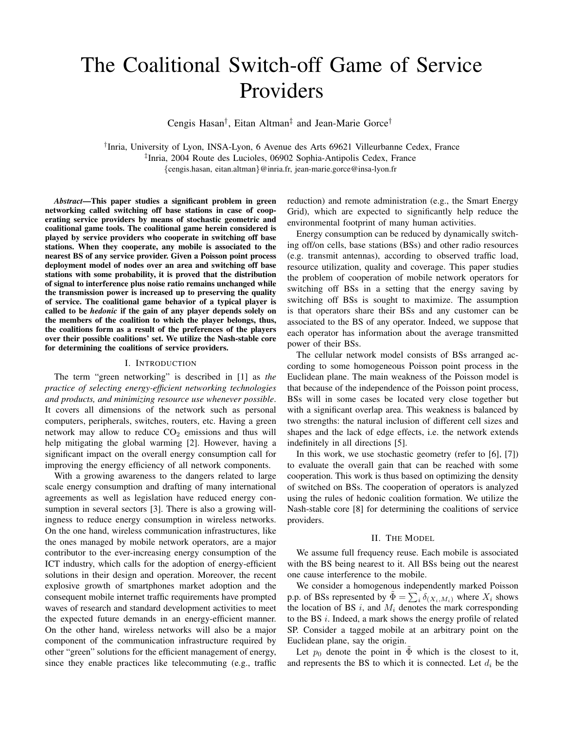# The Coalitional Switch-off Game of Service Providers

Cengis Hasan† , Eitan Altman‡ and Jean-Marie Gorce†

† Inria, University of Lyon, INSA-Lyon, 6 Avenue des Arts 69621 Villeurbanne Cedex, France ‡ Inria, 2004 Route des Lucioles, 06902 Sophia-Antipolis Cedex, France {cengis.hasan, eitan.altman}@inria.fr, jean-marie.gorce@insa-lyon.fr

*Abstract*—This paper studies a significant problem in green networking called switching off base stations in case of cooperating service providers by means of stochastic geometric and coalitional game tools. The coalitional game herein considered is played by service providers who cooperate in switching off base stations. When they cooperate, any mobile is associated to the nearest BS of any service provider. Given a Poisson point process deployment model of nodes over an area and switching off base stations with some probability, it is proved that the distribution of signal to interference plus noise ratio remains unchanged while the transmission power is increased up to preserving the quality of service. The coalitional game behavior of a typical player is called to be *hedonic* if the gain of any player depends solely on the members of the coalition to which the player belongs, thus, the coalitions form as a result of the preferences of the players over their possible coalitions' set. We utilize the Nash-stable core for determining the coalitions of service providers.

# I. INTRODUCTION

The term "green networking" is described in [1] as *the practice of selecting energy-efficient networking technologies and products, and minimizing resource use whenever possible*. It covers all dimensions of the network such as personal computers, peripherals, switches, routers, etc. Having a green network may allow to reduce  $CO<sub>2</sub>$  emissions and thus will help mitigating the global warming [2]. However, having a significant impact on the overall energy consumption call for improving the energy efficiency of all network components.

With a growing awareness to the dangers related to large scale energy consumption and drafting of many international agreements as well as legislation have reduced energy consumption in several sectors [3]. There is also a growing willingness to reduce energy consumption in wireless networks. On the one hand, wireless communication infrastructures, like the ones managed by mobile network operators, are a major contributor to the ever-increasing energy consumption of the ICT industry, which calls for the adoption of energy-efficient solutions in their design and operation. Moreover, the recent explosive growth of smartphones market adoption and the consequent mobile internet traffic requirements have prompted waves of research and standard development activities to meet the expected future demands in an energy-efficient manner. On the other hand, wireless networks will also be a major component of the communication infrastructure required by other "green" solutions for the efficient management of energy, since they enable practices like telecommuting (e.g., traffic reduction) and remote administration (e.g., the Smart Energy Grid), which are expected to significantly help reduce the environmental footprint of many human activities.

Energy consumption can be reduced by dynamically switching off/on cells, base stations (BSs) and other radio resources (e.g. transmit antennas), according to observed traffic load, resource utilization, quality and coverage. This paper studies the problem of cooperation of mobile network operators for switching off BSs in a setting that the energy saving by switching off BSs is sought to maximize. The assumption is that operators share their BSs and any customer can be associated to the BS of any operator. Indeed, we suppose that each operator has information about the average transmitted power of their BSs.

The cellular network model consists of BSs arranged according to some homogeneous Poisson point process in the Euclidean plane. The main weakness of the Poisson model is that because of the independence of the Poisson point process, BSs will in some cases be located very close together but with a significant overlap area. This weakness is balanced by two strengths: the natural inclusion of different cell sizes and shapes and the lack of edge effects, i.e. the network extends indefinitely in all directions [5].

In this work, we use stochastic geometry (refer to [6], [7]) to evaluate the overall gain that can be reached with some cooperation. This work is thus based on optimizing the density of switched on BSs. The cooperation of operators is analyzed using the rules of hedonic coalition formation. We utilize the Nash-stable core [8] for determining the coalitions of service providers.

#### II. THE MODEL

We assume full frequency reuse. Each mobile is associated with the BS being nearest to it. All BSs being out the nearest one cause interference to the mobile.

We consider a homogenous independently marked Poisson p.p. of BSs represented by  $\tilde{\Phi} = \sum_{i} \delta_{(X_i, M_i)}$  where  $X_i$  shows the location of BS  $i$ , and  $M_i$  denotes the mark corresponding to the BS i. Indeed, a mark shows the energy profile of related SP. Consider a tagged mobile at an arbitrary point on the Euclidean plane, say the origin.

Let  $p_0$  denote the point in  $\Phi$  which is the closest to it, and represents the BS to which it is connected. Let  $d_i$  be the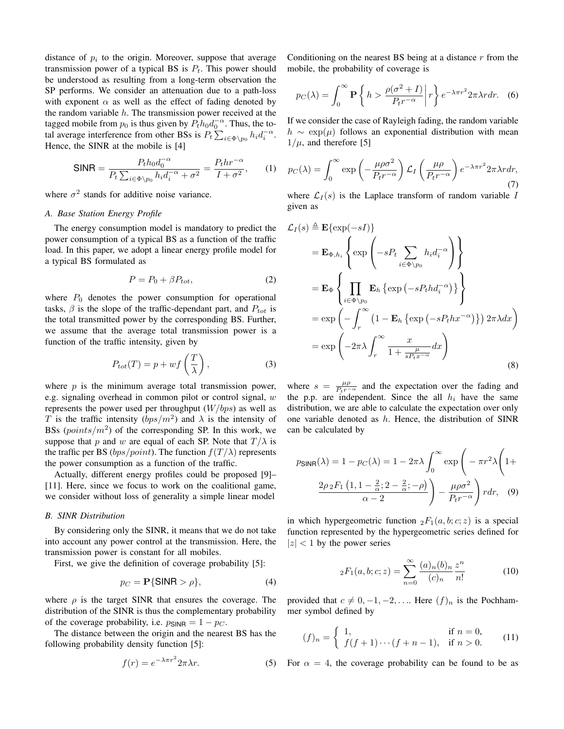distance of  $p_i$  to the origin. Moreover, suppose that average transmission power of a typical BS is  $P_t$ . This power should be understood as resulting from a long-term observation the SP performs. We consider an attenuation due to a path-loss with exponent  $\alpha$  as well as the effect of fading denoted by the random variable  $h$ . The transmission power received at the tagged mobile from  $p_0$  is thus given by  $P_t h_0 d_0^{-\alpha}$ . Thus, the total average interference from other BSs is  $P_t \sum_{i \in \Phi \setminus p_0} h_i d_i^{-\alpha}$ . Hence, the SINR at the mobile is [4]

$$
\text{SINR} = \frac{P_t h_0 d_0^{-\alpha}}{P_t \sum_{i \in \Phi \setminus p_0} h_i d_i^{-\alpha} + \sigma^2} = \frac{P_t h r^{-\alpha}}{I + \sigma^2},\qquad(1)
$$

where  $\sigma^2$  stands for additive noise variance.

# *A. Base Station Energy Profile*

The energy consumption model is mandatory to predict the power consumption of a typical BS as a function of the traffic load. In this paper, we adopt a linear energy profile model for a typical BS formulated as

$$
P = P_0 + \beta P_{tot},\tag{2}
$$

where  $P_0$  denotes the power consumption for operational tasks,  $\beta$  is the slope of the traffic-dependant part, and  $P_{tot}$  is the total transmitted power by the corresponding BS. Further, we assume that the average total transmission power is a function of the traffic intensity, given by

$$
P_{tot}(T) = p + wf\left(\frac{T}{\lambda}\right),\tag{3}
$$

where  $p$  is the minimum average total transmission power, e.g. signaling overhead in common pilot or control signal, w represents the power used per throughput  $(W/bps)$  as well as T is the traffic intensity  $(bps/m^2)$  and  $\lambda$  is the intensity of BSs  $(points/m^2)$  of the corresponding SP. In this work, we suppose that p and w are equal of each SP. Note that  $T/\lambda$  is the traffic per BS ( $bps/point$ ). The function  $f(T/\lambda)$  represents the power consumption as a function of the traffic.

Actually, different energy profiles could be proposed [9]– [11]. Here, since we focus to work on the coalitional game, we consider without loss of generality a simple linear model

# *B. SINR Distribution*

By considering only the SINR, it means that we do not take into account any power control at the transmission. Here, the transmission power is constant for all mobiles.

First, we give the definition of coverage probability [5]:

$$
p_C = \mathbf{P}\{\mathsf{SINR} > \rho\},\tag{4}
$$

where  $\rho$  is the target SINR that ensures the coverage. The distribution of the SINR is thus the complementary probability of the coverage probability, i.e.  $p_{\text{SINR}} = 1 - p_C$ .

The distance between the origin and the nearest BS has the following probability density function [5]:

$$
f(r) = e^{-\lambda \pi r^2} 2\pi \lambda r.
$$
 (5)

Conditioning on the nearest BS being at a distance  $r$  from the mobile, the probability of coverage is

$$
p_C(\lambda) = \int_0^\infty \mathbf{P} \left\{ h > \frac{\rho(\sigma^2 + I)}{P_t r^{-\alpha}} \middle| r \right\} e^{-\lambda \pi r^2} 2\pi \lambda r dr. \tag{6}
$$

If we consider the case of Rayleigh fading, the random variable  $h \sim \exp(\mu)$  follows an exponential distribution with mean  $1/\mu$ , and therefore [5]

$$
p_C(\lambda) = \int_0^\infty \exp\left(-\frac{\mu \rho \sigma^2}{P_t r^{-\alpha}}\right) \mathcal{L}_I\left(\frac{\mu \rho}{P_t r^{-\alpha}}\right) e^{-\lambda \pi r^2} 2\pi \lambda r dr,\tag{7}
$$

where  $\mathcal{L}_I(s)$  is the Laplace transform of random variable I given as

$$
\mathcal{L}_{I}(s) \triangleq \mathbf{E}\{\exp(-sI)\}\
$$
\n
$$
= \mathbf{E}_{\Phi,h_{i}}\left\{\exp\left(-sP_{t}\sum_{i\in\Phi\backslash p_{0}}h_{i}d_{i}^{-\alpha}\right)\right\}
$$
\n
$$
= \mathbf{E}_{\Phi}\left\{\prod_{i\in\Phi\backslash p_{0}}\mathbf{E}_{h}\left\{\exp\left(-sP_{t}hd_{i}^{-\alpha}\right)\right\}\right\}
$$
\n
$$
= \exp\left(-\int_{r}^{\infty}\left(1-\mathbf{E}_{h}\left\{\exp\left(-sP_{t}hx^{-\alpha}\right)\right\}\right)2\pi\lambda dx\right)
$$
\n
$$
= \exp\left(-2\pi\lambda\int_{r}^{\infty}\frac{x}{1+\frac{\mu}{sP_{t}x^{-\alpha}}}dx\right)
$$
\n(8)

where  $s = \frac{\mu \rho}{P_t r^{-\alpha}}$  and the expectation over the fading and the p.p. are independent. Since the all  $h_i$  have the same distribution, we are able to calculate the expectation over only one variable denoted as  $h$ . Hence, the distribution of SINR can be calculated by

$$
p_{\text{SINR}}(\lambda) = 1 - p_C(\lambda) = 1 - 2\pi\lambda \int_0^\infty \exp\left(-\pi r^2 \lambda \left(1 + \frac{2\rho_2 F_1\left(1, 1 - \frac{2}{\alpha}; 2 - \frac{2}{\alpha}; -\rho\right)}{\alpha - 2}\right) - \frac{\mu \rho \sigma^2}{P_t r^{-\alpha}}\right) r dr, \quad (9)
$$

in which hypergeometric function  ${}_2F_1(a, b; c; z)$  is a special function represented by the hypergeometric series defined for  $|z|$  < 1 by the power series

$$
{}_2F_1(a,b;c;z) = \sum_{n=0}^{\infty} \frac{(a)_n (b)_n}{(c)_n} \frac{z^n}{n!}
$$
 (10)

provided that  $c \neq 0, -1, -2, \ldots$  Here  $(f)_n$  is the Pochhammer symbol defined by

$$
(f)_n = \begin{cases} 1, & \text{if } n = 0, \\ f(f+1)\cdots(f+n-1), & \text{if } n > 0. \end{cases}
$$
 (11)

For  $\alpha = 4$ , the coverage probability can be found to be as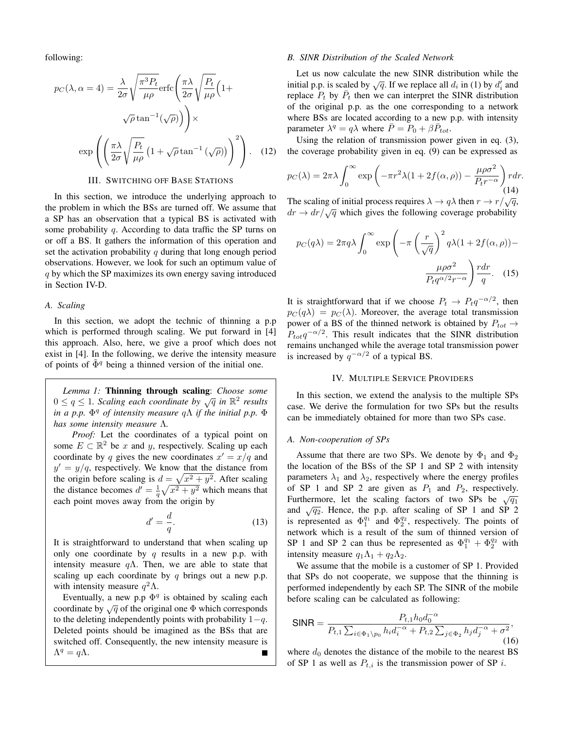following:

$$
p_C(\lambda, \alpha = 4) = \frac{\lambda}{2\sigma} \sqrt{\frac{\pi^3 P_t}{\mu \rho}} \text{erfc}\left(\frac{\pi \lambda}{2\sigma} \sqrt{\frac{P_t}{\mu \rho}} \left(1 + \sqrt{\rho} \tan^{-1}(\sqrt{\rho})\right)\right) \times
$$

$$
\exp\left(\left(\frac{\pi \lambda}{2\sigma} \sqrt{\frac{P_t}{\mu \rho}} \left(1 + \sqrt{\rho} \tan^{-1}(\sqrt{\rho})\right)\right)^2\right). \quad (12)
$$

# III. SWITCHING OFF BASE STATIONS

In this section, we introduce the underlying approach to the problem in which the BSs are turned off. We assume that a SP has an observation that a typical BS is activated with some probability q. According to data traffic the SP turns on or off a BS. It gathers the information of this operation and set the activation probability  $q$  during that long enough period observations. However, we look for such an optimum value of q by which the SP maximizes its own energy saving introduced in Section IV-D.

## *A. Scaling*

In this section, we adopt the technic of thinning a p.p which is performed through scaling. We put forward in [4] this approach. Also, here, we give a proof which does not exist in [4]. In the following, we derive the intensity measure of points of  $\Phi^q$  being a thinned version of the initial one.

*Lemma 1:* Thinning through scaling: *Choose some*  $0 \le q \le 1$ . Scaling each coordinate by  $\sqrt{q}$  in  $\mathbb{R}^2$  results *in a p.p.* Φ <sup>q</sup> *of intensity measure* qΛ *if the initial p.p.* Φ *has some intensity measure* Λ*.*

*Proof:* Let the coordinates of a typical point on some  $E \subset \mathbb{R}^2$  be x and y, respectively. Scaling up each coordinate by q gives the new coordinates  $x' = x/q$  and  $y' = y/q$ , respectively. We know that the distance from the origin before scaling is  $d = \sqrt{x^2 + y^2}$ . After scaling the distance becomes  $d' = \frac{1}{q} \sqrt{x^2 + y^2}$  which means that each point moves away from the origin by

$$
d' = \frac{d}{q}.\tag{13}
$$

It is straightforward to understand that when scaling up only one coordinate by q results in a new p.p. with intensity measure  $q\Lambda$ . Then, we are able to state that scaling up each coordinate by  $q$  brings out a new p.p. with intensity measure  $q^2\Lambda$ .

Eventually, a new p.p  $\Phi^q$  is obtained by scaling each coordinate by  $\sqrt{q}$  of the original one  $\Phi$  which corresponds to the deleting independently points with probability  $1-q$ . Deleted points should be imagined as the BSs that are switched off. Consequently, the new intensity measure is  $\Lambda^q = q\Lambda.$ 

#### *B. SINR Distribution of the Scaled Network*

Let us now calculate the new SINR distribution while the initial p.p. is scaled by  $\sqrt{q}$ . If we replace all  $d_i$  in (1) by  $d'_i$  and replace  $P_t$  by  $\overline{P}_t$  then we can interpret the SINR distribution of the original p.p. as the one corresponding to a network where BSs are located according to a new p.p. with intensity parameter  $\lambda^q = q\lambda$  where  $\overline{P} = P_0 + \beta \overline{P}_{tot}$ .

Using the relation of transmission power given in eq. (3), the coverage probability given in eq. (9) can be expressed as

$$
p_C(\lambda) = 2\pi\lambda \int_0^\infty \exp\left(-\pi r^2 \lambda (1 + 2f(\alpha, \rho)) - \frac{\mu \rho \sigma^2}{P_t r^{-\alpha}}\right) r dr.
$$
\n(14)

The scaling of initial process requires  $\lambda \to q\lambda$  then  $r \to r/\sqrt{q}$ ,  $dr \rightarrow dr / \sqrt{q}$  which gives the following coverage probability

$$
p_C(q\lambda) = 2\pi q \lambda \int_0^\infty \exp\left(-\pi \left(\frac{r}{\sqrt{q}}\right)^2 q\lambda (1 + 2f(\alpha, \rho)) - \frac{\mu \rho \sigma^2}{P_t q^{\alpha/2} r^{-\alpha}}\right) \frac{r dr}{q}.
$$
 (15)

It is straightforward that if we choose  $P_t \rightarrow P_t q^{-\alpha/2}$ , then  $p_C(q\lambda) = p_C(\lambda)$ . Moreover, the average total transmission power of a BS of the thinned network is obtained by  $P_{tot} \rightarrow$  $P_{tot}q^{-\alpha/2}$ . This result indicates that the SINR distribution remains unchanged while the average total transmission power is increased by  $q^{-\alpha/2}$  of a typical BS.

#### IV. MULTIPLE SERVICE PROVIDERS

In this section, we extend the analysis to the multiple SPs case. We derive the formulation for two SPs but the results can be immediately obtained for more than two SPs case.

### *A. Non-cooperation of SPs*

Assume that there are two SPs. We denote by  $\Phi_1$  and  $\Phi_2$ the location of the BSs of the SP 1 and SP 2 with intensity parameters  $\lambda_1$  and  $\lambda_2$ , respectively where the energy profiles of SP 1 and SP 2 are given as  $P_1$  and  $P_2$ , respectively. Furthermore, let the scaling factors of two SPs be  $\sqrt{q_1}$ and  $\sqrt{q_2}$ . Hence, the p.p. after scaling of SP 1 and SP 2 is represented as  $\Phi_1^{q_1}$  and  $\Phi_2^{q_2}$ , respectively. The points of network which is a result of the sum of thinned version of SP 1 and SP 2 can thus be represented as  $\Phi_1^{q_1} + \Phi_2^{q_2}$  with intensity measure  $q_1\Lambda_1 + q_2\Lambda_2$ .

We assume that the mobile is a customer of SP 1. Provided that SPs do not cooperate, we suppose that the thinning is performed independently by each SP. The SINR of the mobile before scaling can be calculated as following:

$$
\text{SINR} = \frac{P_{t,1} h_0 d_0^{-\alpha}}{P_{t,1} \sum_{i \in \Phi_1 \backslash p_0} h_i d_i^{-\alpha} + P_{t,2} \sum_{j \in \Phi_2} h_j d_j^{-\alpha} + \sigma^2},\tag{16}
$$

where  $d_0$  denotes the distance of the mobile to the nearest BS of SP 1 as well as  $P_{t,i}$  is the transmission power of SP i.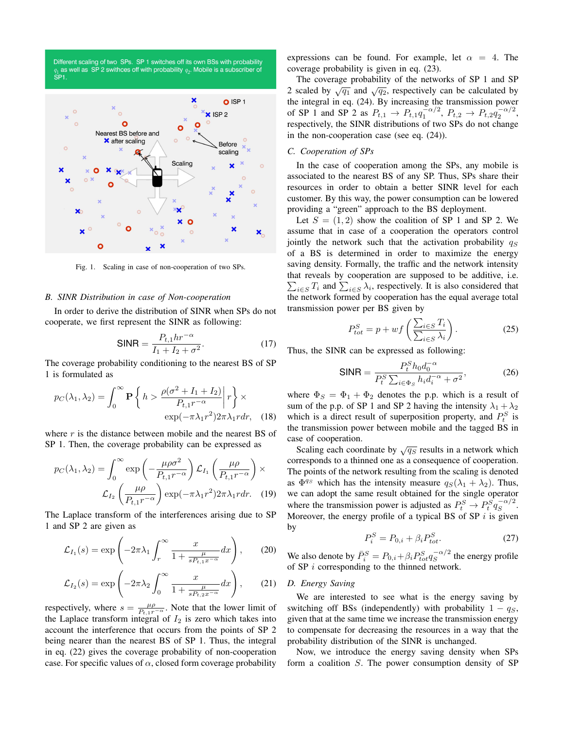



Fig. 1. Scaling in case of non-cooperation of two SPs.

### *B. SINR Distribution in case of Non-cooperation*

In order to derive the distribution of SINR when SPs do not cooperate, we first represent the SINR as following:

SINR = 
$$
\frac{P_{t,1}hr^{-\alpha}}{I_1 + I_2 + \sigma^2}.
$$
 (17)

The coverage probability conditioning to the nearest BS of SP 1 is formulated as

$$
p_C(\lambda_1, \lambda_2) = \int_0^\infty \mathbf{P} \left\{ h > \frac{\rho(\sigma^2 + I_1 + I_2)}{P_{t,1}r^{-\alpha}} \middle| r \right\} \times \exp(-\pi \lambda_1 r^2) 2\pi \lambda_1 r dr, \quad (18)
$$

where  $r$  is the distance between mobile and the nearest BS of SP 1. Then, the coverage probability can be expressed as

$$
p_C(\lambda_1, \lambda_2) = \int_0^\infty \exp\left(-\frac{\mu \rho \sigma^2}{P_{t,1}r^{-\alpha}}\right) \mathcal{L}_{I_1}\left(\frac{\mu \rho}{P_{t,1}r^{-\alpha}}\right) \times
$$

$$
\mathcal{L}_{I_2}\left(\frac{\mu \rho}{P_{t,1}r^{-\alpha}}\right) \exp(-\pi \lambda_1 r^2) 2\pi \lambda_1 r dr. \quad (19)
$$

The Laplace transform of the interferences arising due to SP 1 and SP 2 are given as

$$
\mathcal{L}_{I_1}(s) = \exp\left(-2\pi\lambda_1 \int_r^{\infty} \frac{x}{1 + \frac{\mu}{s P_{t,1} x^{-\alpha}}} dx\right),\qquad(20)
$$

$$
\mathcal{L}_{I_2}(s) = \exp\left(-2\pi\lambda_2 \int_0^\infty \frac{x}{1 + \frac{\mu}{s P_{t,2} x^{-\alpha}}} dx\right),\qquad(21)
$$

respectively, where  $s = \frac{\mu \rho}{P_{t,1}r^{-\alpha}}$ . Note that the lower limit of the Laplace transform integral of  $I_2$  is zero which takes into account the interference that occurs from the points of SP 2 being nearer than the nearest BS of SP 1. Thus, the integral in eq. (22) gives the coverage probability of non-cooperation case. For specific values of  $\alpha$ , closed form coverage probability

expressions can be found. For example, let  $\alpha = 4$ . The coverage probability is given in eq. (23).

The coverage probability of the networks of SP 1 and SP 2 scaled by  $\sqrt{q_1}$  and  $\sqrt{q_2}$ , respectively can be calculated by the integral in eq. (24). By increasing the transmission power of SP 1 and SP 2 as  $P_{t,1} \to P_{t,1} q_1^{-\alpha/2}$ ,  $P_{t,2} \to P_{t,2} q_2^{-\alpha/2}$ , respectively, the SINR distributions of two SPs do not change in the non-cooperation case (see eq. (24)).

# *C. Cooperation of SPs*

In the case of cooperation among the SPs, any mobile is associated to the nearest BS of any SP. Thus, SPs share their resources in order to obtain a better SINR level for each customer. By this way, the power consumption can be lowered providing a "green" approach to the BS deployment.

Let  $S = (1, 2)$  show the coalition of SP 1 and SP 2. We assume that in case of a cooperation the operators control jointly the network such that the activation probability  $q_S$ of a BS is determined in order to maximize the energy saving density. Formally, the traffic and the network intensity that reveals by cooperation are supposed to be additive, i.e.  $\sum_{i \in S} T_i$  and  $\sum_{i \in S} \lambda_i$ , respectively. It is also considered that the network formed by cooperation has the equal average total transmission power per BS given by

$$
P_{tot}^{S} = p + wf\left(\frac{\sum_{i \in S} T_i}{\sum_{i \in S} \lambda_i}\right).
$$
 (25)

Thus, the SINR can be expressed as following:

$$
\text{SINR} = \frac{P_t^S h_0 d_0^{-\alpha}}{P_t^S \sum_{i \in \Phi_S} h_i d_i^{-\alpha} + \sigma^2},\tag{26}
$$

where  $\Phi_S = \Phi_1 + \Phi_2$  denotes the p.p. which is a result of sum of the p.p. of SP 1 and SP 2 having the intensity  $\lambda_1 + \lambda_2$ which is a direct result of superposition property, and  $P_t^S$  is the transmission power between mobile and the tagged BS in case of cooperation.

Scaling each coordinate by  $\sqrt{q_S}$  results in a network which corresponds to a thinned one as a consequence of cooperation. The points of the network resulting from the scaling is denoted as  $\Phi^{q_s}$  which has the intensity measure  $q_S(\lambda_1 + \lambda_2)$ . Thus, we can adopt the same result obtained for the single operator where the transmission power is adjusted as  $P_t^S \to P_t^S q_S^{-\alpha/2}$  $S^{\alpha/2}$ . Moreover, the energy profile of a typical BS of SP  $i$  is given by

$$
P_i^S = P_{0,i} + \beta_i P_{tot}^S.
$$
\n
$$
(27)
$$

We also denote by  $\bar{P}^S_i = P_{0,i} + \beta_i P^S_{tot} q_S^{-\alpha/2}$  $\int_{S}^{-\alpha/2}$  the energy profile of SP  $i$  corresponding to the thinned network.

# *D. Energy Saving*

We are interested to see what is the energy saving by switching off BSs (independently) with probability  $1 - q<sub>S</sub>$ , given that at the same time we increase the transmission energy to compensate for decreasing the resources in a way that the probability distribution of the SINR is unchanged.

Now, we introduce the energy saving density when SPs form a coalition S. The power consumption density of SP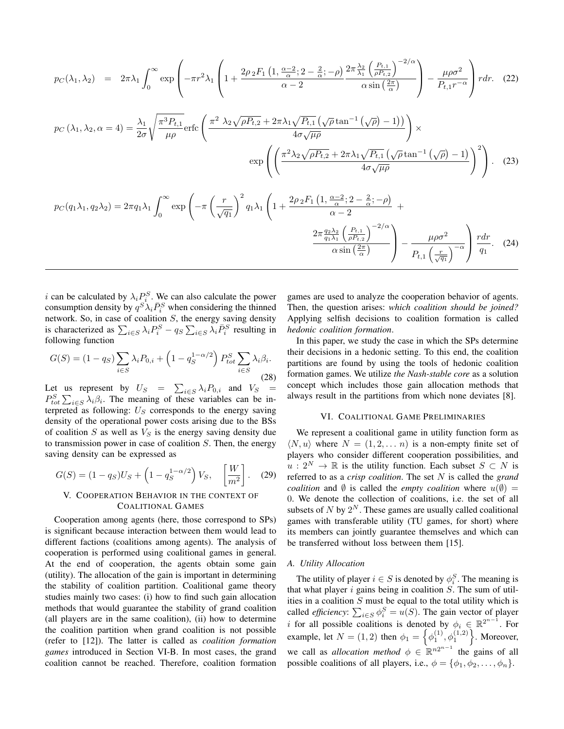$$
p_C(\lambda_1, \lambda_2) = 2\pi \lambda_1 \int_0^\infty \exp\left(-\pi r^2 \lambda_1 \left(1 + \frac{2\rho_2 F_1 \left(1, \frac{\alpha - 2}{\alpha}; 2 - \frac{2}{\alpha}; -\rho\right)}{\alpha - 2} \frac{2\pi \frac{\lambda_2}{\lambda_1} \left(\frac{P_{t,1}}{\rho P_{t,2}}\right)^{-2/\alpha}}{\alpha \sin\left(\frac{2\pi}{\alpha}\right)}\right) - \frac{\mu \rho \sigma^2}{P_{t,1}r^{-\alpha}}\right) r dr. (22)
$$
  
\n
$$
p_C(\lambda_1, \lambda_2, \alpha = 4) = \frac{\lambda_1}{2\sigma} \sqrt{\frac{\pi^3 P_{t,1}}{\mu \rho}} \text{erfc}\left(\frac{\pi^2 \lambda_2 \sqrt{\rho P_{t,2}} + 2\pi \lambda_1 \sqrt{P_{t,1}} \left(\sqrt{\rho} \tan^{-1} \left(\sqrt{\rho}\right) - 1\right)\right)}{4\sigma \sqrt{\mu \rho}}\right) \times \exp\left(\left(\frac{\pi^2 \lambda_2 \sqrt{\rho P_{t,2}} + 2\pi \lambda_1 \sqrt{P_{t,1}} \left(\sqrt{\rho} \tan^{-1} \left(\sqrt{\rho}\right) - 1\right)}{4\sigma \sqrt{\mu \rho}}\right)^2\right). (23)
$$
  
\n
$$
p_C(q_1 \lambda_1, q_2 \lambda_2) = 2\pi q_1 \lambda_1 \int_0^\infty \exp\left(-\pi \left(\frac{r}{\sqrt{q_1}}\right)^2 q_1 \lambda_1 \left(1 + \frac{2\rho_2 F_1 \left(1, \frac{\alpha - 2}{\alpha}; 2 - \frac{2}{\alpha}; -\rho\right)}{\alpha - 2} + \frac{2\pi \frac{q_2 \lambda_2}{q_1 \lambda_1} \left(\frac{P_{t,1}}{\rho P_{t,2}}\right)^{-2/\alpha}}{\alpha \sin\left(\frac{2\pi}{\alpha}\right)}\right) - \frac{\mu \rho \sigma^2}{P_{t,1} \left(\frac{r}{\sqrt{q_1}}\right)^{-\alpha}}\right) \frac{r dr}{q_1}. (24)
$$

i can be calculated by  $\lambda_i P_i^S$ . We can also calculate the power consumption density by  $q^{S} \lambda_i \bar{P}^S_i$  when considering the thinned network. So, in case of coalition  $S$ , the energy saving density is characterized as  $\sum_{i \in S} \lambda_i P_i^S - q_S \sum_{i \in S} \lambda_i \overline{P}_i^S$  resulting in following function

$$
G(S) = (1 - q_S) \sum_{i \in S} \lambda_i P_{0,i} + \left(1 - q_S^{1 - \alpha/2}\right) P_{tot}^S \sum_{i \in S} \lambda_i \beta_i.
$$
\n(28)

Let us represent by  $U_S = \sum_{i \in S} \lambda_i P_{0,i}$  and  $V_S =$  $P_{tot}^{S} \sum_{i \in S} \lambda_i \beta_i$ . The meaning of these variables can be interpreted as following:  $U<sub>S</sub>$  corresponds to the energy saving density of the operational power costs arising due to the BSs of coalition S as well as  $V<sub>S</sub>$  is the energy saving density due to transmission power in case of coalition  $S$ . Then, the energy saving density can be expressed as

$$
G(S) = (1 - q_S)U_S + \left(1 - q_S^{1 - \alpha/2}\right) V_S, \quad \left[\frac{W}{m^2}\right].
$$
 (29)

# V. COOPERATION BEHAVIOR IN THE CONTEXT OF COALITIONAL GAMES

Cooperation among agents (here, those correspond to SPs) is significant because interaction between them would lead to different factions (coalitions among agents). The analysis of cooperation is performed using coalitional games in general. At the end of cooperation, the agents obtain some gain (utility). The allocation of the gain is important in determining the stability of coalition partition. Coalitional game theory studies mainly two cases: (i) how to find such gain allocation methods that would guarantee the stability of grand coalition (all players are in the same coalition), (ii) how to determine the coalition partition when grand coalition is not possible (refer to [12]). The latter is called as *coalition formation games* introduced in Section VI-B. In most cases, the grand coalition cannot be reached. Therefore, coalition formation

games are used to analyze the cooperation behavior of agents. Then, the question arises: *which coalition should be joined?* Applying selfish decisions to coalition formation is called *hedonic coalition formation*.

In this paper, we study the case in which the SPs determine their decisions in a hedonic setting. To this end, the coalition partitions are found by using the tools of hedonic coalition formation games. We utilize *the Nash-stable core* as a solution concept which includes those gain allocation methods that always result in the partitions from which none deviates [8].

#### VI. COALITIONAL GAME PRELIMINARIES

We represent a coalitional game in utility function form as  $\langle N, u \rangle$  where  $N = (1, 2, \dots n)$  is a non-empty finite set of players who consider different cooperation possibilities, and  $u: 2^N \to \mathbb{R}$  is the utility function. Each subset  $S \subset N$  is referred to as a *crisp coalition*. The set N is called the *grand coalition* and  $\emptyset$  is called the *empty coalition* where  $u(\emptyset)$  = 0. We denote the collection of coalitions, i.e. the set of all subsets of N by  $2^N$ . These games are usually called coalitional games with transferable utility (TU games, for short) where its members can jointly guarantee themselves and which can be transferred without loss between them [15].

#### *A. Utility Allocation*

The utility of player  $i \in S$  is denoted by  $\phi_i^S$ . The meaning is that what player  $i$  gains being in coalition  $S$ . The sum of utilities in a coalition  $S$  must be equal to the total utility which is called *efficiency*:  $\sum_{i \in S} \phi_i^S = u(S)$ . The gain vector of player i for all possible coalitions is denoted by  $\phi_i \in \mathbb{R}^{2^{n-1}}$ . For example, let  $N = (1, 2)$  then  $\phi_1 = \left\{ \phi_1^{(1)}, \phi_1^{(1,2)} \right\}$ . Moreover, we call as *allocation method*  $\phi \in \mathbb{R}^{n2^{n-1}}$  the gains of all possible coalitions of all players, i.e.,  $\phi = {\phi_1, \phi_2, \dots, \phi_n}.$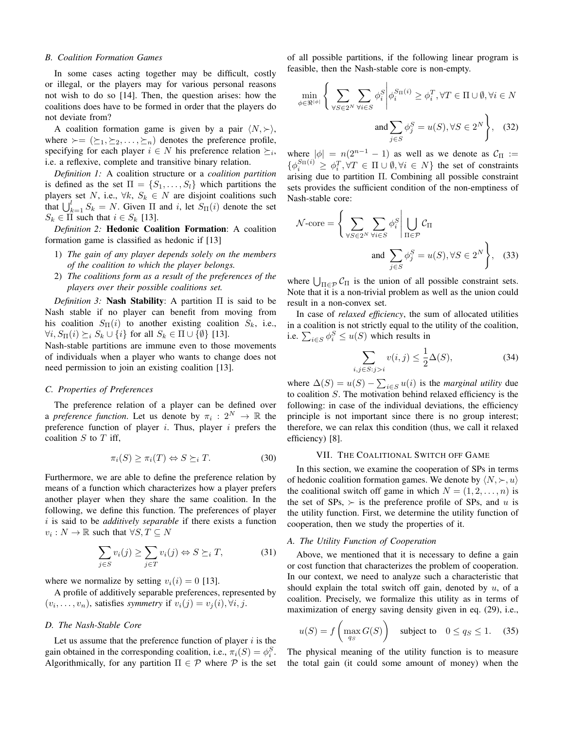#### *B. Coalition Formation Games*

In some cases acting together may be difficult, costly or illegal, or the players may for various personal reasons not wish to do so [14]. Then, the question arises: how the coalitions does have to be formed in order that the players do not deviate from?

A coalition formation game is given by a pair  $\langle N, \rangle$ , where  $\succ = (\succeq_1, \succeq_2, \ldots, \succeq_n)$  denotes the preference profile, specifying for each player  $i \in N$  his preference relation  $\succeq_i$ , i.e. a reflexive, complete and transitive binary relation.

*Definition 1:* A coalition structure or a *coalition partition* is defined as the set  $\Pi = \{S_1, \ldots, S_l\}$  which partitions the players set N, i.e.,  $\forall k, S_k \in N$  are disjoint coalitions such that  $\bigcup_{k=1}^{l} S_k = N$ . Given  $\Pi$  and i, let  $S_{\Pi}(i)$  denote the set  $S_k \in \Pi$  such that  $i \in S_k$  [13].

*Definition 2:* Hedonic Coalition Formation: A coalition formation game is classified as hedonic if [13]

- 1) *The gain of any player depends solely on the members of the coalition to which the player belongs.*
- 2) *The coalitions form as a result of the preferences of the players over their possible coalitions set.*

*Definition 3:* Nash Stability: A partition Π is said to be Nash stable if no player can benefit from moving from his coalition  $S_{\Pi}(i)$  to another existing coalition  $S_k$ , i.e.,  $\forall i, S_{\Pi}(i) \succeq_i S_k \cup \{i\}$  for all  $S_k \in \Pi \cup \{\emptyset\}$  [13].

Nash-stable partitions are immune even to those movements of individuals when a player who wants to change does not need permission to join an existing coalition [13].

# *C. Properties of Preferences*

The preference relation of a player can be defined over a *preference function*. Let us denote by  $\pi_i : 2^N \to \mathbb{R}$  the preference function of player  $i$ . Thus, player  $i$  prefers the coalition  $S$  to  $T$  iff,

$$
\pi_i(S) \ge \pi_i(T) \Leftrightarrow S \succeq_i T. \tag{30}
$$

Furthermore, we are able to define the preference relation by means of a function which characterizes how a player prefers another player when they share the same coalition. In the following, we define this function. The preferences of player i is said to be *additively separable* if there exists a function  $v_i: N \to \mathbb{R}$  such that  $\forall S, T \subseteq N$ 

$$
\sum_{j \in S} v_i(j) \ge \sum_{j \in T} v_i(j) \Leftrightarrow S \succeq_i T,\tag{31}
$$

where we normalize by setting  $v_i(i) = 0$  [13].

A profile of additively separable preferences, represented by  $(v_i, \ldots, v_n)$ , satisfies *symmetry* if  $v_i(j) = v_j(i), \forall i, j$ .

## *D. The Nash-Stable Core*

Let us assume that the preference function of player  $i$  is the gain obtained in the corresponding coalition, i.e.,  $\pi_i(S) = \phi_i^S$ . Algorithmically, for any partition  $\Pi \in \mathcal{P}$  where  $\mathcal P$  is the set

of all possible partitions, if the following linear program is feasible, then the Nash-stable core is non-empty.

$$
\min_{\phi \in \mathbb{R}^{|\phi|}} \left\{ \sum_{\forall S \in 2^N} \sum_{\forall i \in S} \phi_i^S \middle| \phi_i^{S_{\Pi}(i)} \ge \phi_i^T, \forall T \in \Pi \cup \emptyset, \forall i \in N \right\}
$$
\n
$$
\text{and} \sum_{j \in S} \phi_j^S = u(S), \forall S \in 2^N \right\}, \quad (32)
$$

where  $|\phi| = n(2^{n-1} - 1)$  as well as we denote as  $C_{\Pi}$  :=  $\{\phi_i^{S_{\Pi}(i)} \geq \phi_i^T, \forall T \in \Pi \cup \emptyset, \forall i \in N\}$  the set of constraints arising due to partition Π. Combining all possible constraint sets provides the sufficient condition of the non-emptiness of Nash-stable core:

$$
\mathcal{N}\text{-core} = \left\{ \sum_{\forall S \in 2^N} \sum_{\forall i \in S} \phi_i^S \middle| \bigcup_{\Pi \in \mathcal{P}} \mathcal{C}_{\Pi} \right\}
$$
\n
$$
\text{and } \sum_{j \in S} \phi_j^S = u(S), \forall S \in 2^N \right\}, \quad (33)
$$

where  $\bigcup_{\Pi \in \mathcal{P}} C_{\Pi}$  is the union of all possible constraint sets. Note that it is a non-trivial problem as well as the union could result in a non-convex set.

In case of *relaxed efficiency*, the sum of allocated utilities in a coalition is not strictly equal to the utility of the coalition, i.e.  $\sum_{i \in S} \phi_i^S \leq u(S)$  which results in

$$
\sum_{i,j \in S: j > i} v(i,j) \le \frac{1}{2}\Delta(S),\tag{34}
$$

where  $\Delta(S) = u(S) - \sum_{i \in S} u(i)$  is the *marginal utility* due to coalition  $S$ . The motivation behind relaxed efficiency is the following: in case of the individual deviations, the efficiency principle is not important since there is no group interest; therefore, we can relax this condition (thus, we call it relaxed efficiency) [8].

# VII. THE COALITIONAL SWITCH OFF GAME

In this section, we examine the cooperation of SPs in terms of hedonic coalition formation games. We denote by  $\langle N, \rangle$ ,  $u \rangle$ the coalitional switch off game in which  $N = (1, 2, \dots, n)$  is the set of SPs,  $\succ$  is the preference profile of SPs, and u is the utility function. First, we determine the utility function of cooperation, then we study the properties of it.

### *A. The Utility Function of Cooperation*

Above, we mentioned that it is necessary to define a gain or cost function that characterizes the problem of cooperation. In our context, we need to analyze such a characteristic that should explain the total switch off gain, denoted by  $u$ , of a coalition. Precisely, we formalize this utility as in terms of maximization of energy saving density given in eq. (29), i.e.,

$$
u(S) = f\left(\max_{q_S} G(S)\right) \quad \text{subject to} \quad 0 \le q_S \le 1. \tag{35}
$$

The physical meaning of the utility function is to measure the total gain (it could some amount of money) when the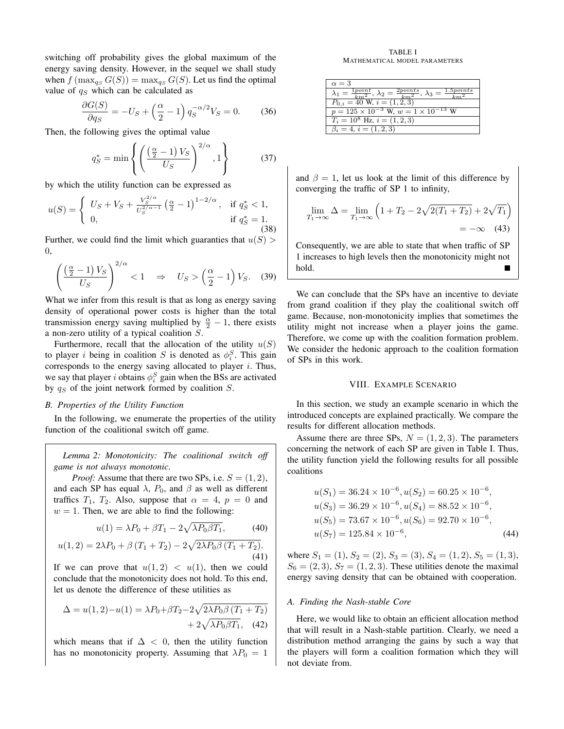switching off probability gives the global maximum of the energy saving density. However, in the sequel we shall study when  $f$  ( $\max_{q_S} G(S)$ ) =  $\max_{q_S} G(S)$ . Let us find the optimal value of  $q_S$  which can be calculated as

$$
\frac{\partial G(S)}{\partial q_S} = -U_S + \left(\frac{\alpha}{2} - 1\right) q_S^{-\alpha/2} V_S = 0. \tag{36}
$$

Then, the following gives the optimal value

$$
q_S^* = \min\left\{ \left( \frac{\left(\frac{\alpha}{2} - 1\right) V_S}{U_S} \right)^{2/\alpha}, 1 \right\} \tag{37}
$$

by which the utility function can be expressed as

$$
u(S) = \begin{cases} U_S + V_S + \frac{V_S^{2/\alpha}}{U_S^{2/\alpha - 1}} \left(\frac{\alpha}{2} - 1\right)^{1 - 2/\alpha}, & \text{if } q_S^* < 1, \\ 0, & \text{if } q_S^* = 1. \end{cases}
$$
(38)

Further, we could find the limit which guaranties that  $u(S)$ 0,

$$
\left(\frac{\left(\frac{\alpha}{2}-1\right)V_S}{U_S}\right)^{2/\alpha} < 1 \quad \Rightarrow \quad U_S > \left(\frac{\alpha}{2}-1\right)V_S. \tag{39}
$$

What we infer from this result is that as long as energy saving density of operational power costs is higher than the total transmission energy saving multiplied by  $\frac{\alpha}{2} - 1$ , there exists a non-zero utility of a typical coalition S.

Furthermore, recall that the allocation of the utility  $u(S)$ to player *i* being in coalition *S* is denoted as  $\phi_i^S$ . This gain corresponds to the energy saving allocated to player  $i$ . Thus, we say that player *i* obtains  $\phi_i^S$  gain when the BSs are activated by  $q_S$  of the joint network formed by coalition  $S$ .

# *B. Properties of the Utility Function*

In the following, we enumerate the properties of the utility function of the coalitional switch off game.

*Lemma 2: Monotonicity: The coalitional switch off game is not always monotonic.*

*Proof:* Assume that there are two SPs, i.e.  $S = (1, 2)$ , and each SP has equal  $\lambda$ ,  $P_0$ , and  $\beta$  as well as different traffics  $T_1$ ,  $T_2$ . Also, suppose that  $\alpha = 4$ ,  $p = 0$  and  $w = 1$ . Then, we are able to find the following:

$$
u(1) = \lambda P_0 + \beta T_1 - 2\sqrt{\lambda P_0 \beta T_1},\tag{40}
$$

$$
u(1,2) = 2\lambda P_0 + \beta (T_1 + T_2) - 2\sqrt{2\lambda P_0 \beta (T_1 + T_2)}.
$$
\n(41)

If we can prove that  $u(1, 2) < u(1)$ , then we could conclude that the monotonicity does not hold. To this end, let us denote the difference of these utilities as

$$
\Delta = u(1,2) - u(1) = \lambda P_0 + \beta T_2 - 2\sqrt{2\lambda P_0 \beta (T_1 + T_2)}
$$
  
+ 2\sqrt{\lambda P\_0 \beta T\_1}, (42)

which means that if  $\Delta$  < 0, then the utility function has no monotonicity property. Assuming that  $\lambda P_0 = 1$ 

TABLE I MATHEMATICAL MODEL PARAMETERS

| $\alpha = 3$                                                                                                                          |
|---------------------------------------------------------------------------------------------------------------------------------------|
| $\lambda_1 = \frac{1 \text{point}}{km^2}, \, \lambda_2 = \frac{2 \text{points}}{km^2}, \, \lambda_3 = \frac{1.5 \text{points}}{km^2}$ |
| $P_{0,i} = 40$ W, $i = (1,2,3)$                                                                                                       |
| $p = 125 \times 10^{-3}$ W, $w = 1 \times 10^{-13}$ W                                                                                 |
| $T_i = 10^8$ Hz, $i = (1, 2, 3)$                                                                                                      |
| $\beta_i = 4, i = (1, 2, 3)$                                                                                                          |

and  $\beta = 1$ , let us look at the limit of this difference by converging the traffic of SP 1 to infinity,

$$
\lim_{T_1 \to \infty} \Delta = \lim_{T_1 \to \infty} \left( 1 + T_2 - 2\sqrt{2(T_1 + T_2)} + 2\sqrt{T_1} \right) = -\infty \quad (43)
$$

Consequently, we are able to state that when traffic of SP 1 increases to high levels then the monotonicity might not hold.

We can conclude that the SPs have an incentive to deviate from grand coalition if they play the coalitional switch off game. Because, non-monotonicity implies that sometimes the utility might not increase when a player joins the game. Therefore, we come up with the coalition formation problem. We consider the hedonic approach to the coalition formation of SPs in this work.

# VIII. EXAMPLE SCENARIO

In this section, we study an example scenario in which the introduced concepts are explained practically. We compare the results for different allocation methods.

Assume there are three SPs,  $N = (1, 2, 3)$ . The parameters concerning the network of each SP are given in Table I. Thus, the utility function yield the following results for all possible coalitions

$$
u(S_1) = 36.24 \times 10^{-6}, u(S_2) = 60.25 \times 10^{-6},
$$
  
\n
$$
u(S_3) = 36.29 \times 10^{-6}, u(S_4) = 88.52 \times 10^{-6},
$$
  
\n
$$
u(S_5) = 73.67 \times 10^{-6}, u(S_6) = 92.70 \times 10^{-6},
$$
  
\n
$$
u(S_7) = 125.84 \times 10^{-6},
$$
\n(44)

where  $S_1 = (1), S_2 = (2), S_3 = (3), S_4 = (1, 2), S_5 = (1, 3),$  $S_6 = (2, 3), S_7 = (1, 2, 3)$ . These utilities denote the maximal energy saving density that can be obtained with cooperation.

#### *A. Finding the Nash-stable Core*

Here, we would like to obtain an efficient allocation method that will result in a Nash-stable partition. Clearly, we need a distribution method arranging the gains by such a way that the players will form a coalition formation which they will not deviate from.